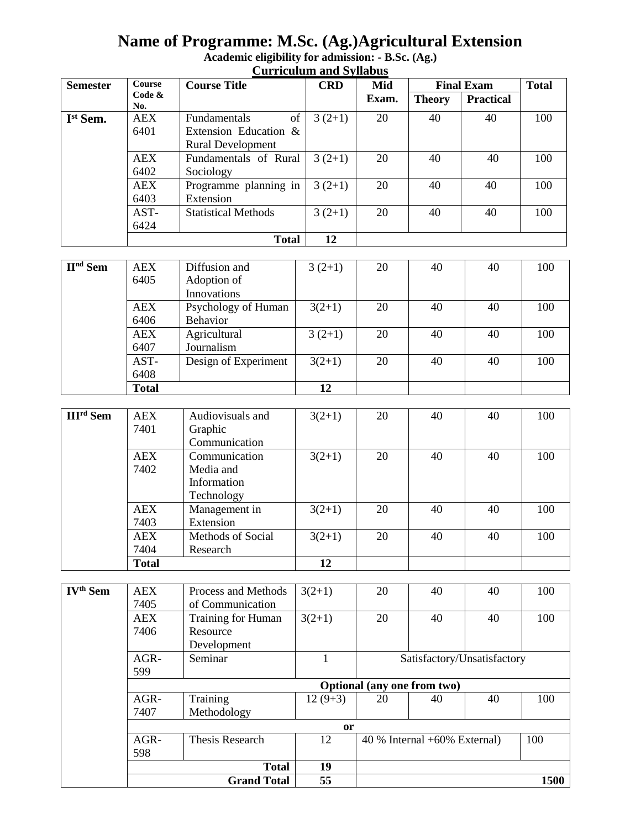# **Name of Programme: M.Sc. (Ag.)Agricultural Extension**

| <b>Semester</b>      | <b>Course</b>    | <b>Course Title</b>        | <b>CRD</b> | Mid   | <b>Final Exam</b> |                  | <b>Total</b> |
|----------------------|------------------|----------------------------|------------|-------|-------------------|------------------|--------------|
|                      | Code $\&$<br>No. |                            |            | Exam. | <b>Theory</b>     | <b>Practical</b> |              |
| I <sup>st</sup> Sem. | <b>AEX</b>       | of<br>Fundamentals         | $3(2+1)$   | 20    | 40                | 40               | 100          |
|                      | 6401             | Extension Education &      |            |       |                   |                  |              |
|                      |                  | <b>Rural Development</b>   |            |       |                   |                  |              |
|                      | <b>AEX</b>       | Fundamentals of Rural      | $3(2+1)$   | 20    | 40                | 40               | 100          |
|                      | 6402             | Sociology                  |            |       |                   |                  |              |
|                      | <b>AEX</b>       | Programme planning in      | $3(2+1)$   | 20    | 40                | 40               | 100          |
|                      | 6403             | Extension                  |            |       |                   |                  |              |
|                      | AST-             | <b>Statistical Methods</b> | $3(2+1)$   | 20    | 40                | 40               | 100          |
|                      | 6424             |                            |            |       |                   |                  |              |
|                      |                  | <b>Total</b>               | 12         |       |                   |                  |              |

# **Academic eligibility for admission: - B.Sc. (Ag.) Curriculum and Syllabus**

| $IInd$ Sem | AEX          | Diffusion and        | $3(2+1)$ | 20 | 40 | 40 | 100 |
|------------|--------------|----------------------|----------|----|----|----|-----|
|            | 6405         | Adoption of          |          |    |    |    |     |
|            |              | Innovations          |          |    |    |    |     |
|            | <b>AEX</b>   | Psychology of Human  | $3(2+1)$ | 20 | 40 | 40 | 100 |
|            | 6406         | Behavior             |          |    |    |    |     |
|            | <b>AEX</b>   | Agricultural         | $3(2+1)$ | 20 | 40 | 40 | 100 |
|            | 6407         | Journalism           |          |    |    |    |     |
|            | AST-         | Design of Experiment | $3(2+1)$ | 20 | 40 | 40 | 100 |
|            | 6408         |                      |          |    |    |    |     |
|            | <b>Total</b> |                      | 12       |    |    |    |     |

|                             | .            |                           |          |    |    |    |     |
|-----------------------------|--------------|---------------------------|----------|----|----|----|-----|
|                             | AST-         | Design of Experiment      | $3(2+1)$ | 20 | 40 | 40 | 100 |
|                             | 6408         |                           |          |    |    |    |     |
|                             | <b>Total</b> |                           | 12       |    |    |    |     |
|                             |              |                           |          |    |    |    |     |
| <b>III<sup>rd</sup></b> Sem | AEX          | Audiovisuals and          | $3(2+1)$ | 20 | 40 | 40 | 100 |
|                             | 7401         | Graphic                   |          |    |    |    |     |
|                             |              | $Cnormal of \overline{a}$ |          |    |    |    |     |

| 7 TV 1       | O(a)              |          |    |    |    |     |
|--------------|-------------------|----------|----|----|----|-----|
|              | Communication     |          |    |    |    |     |
| AEX          | Communication     | $3(2+1)$ | 20 | 40 | 40 | 100 |
| 7402         | Media and         |          |    |    |    |     |
|              | Information       |          |    |    |    |     |
|              | Technology        |          |    |    |    |     |
| <b>AEX</b>   | Management in     | $3(2+1)$ | 20 | 40 | 40 | 100 |
| 7403         | Extension         |          |    |    |    |     |
| <b>AEX</b>   | Methods of Social | $3(2+1)$ | 20 | 40 | 40 | 100 |
| 7404         | Research          |          |    |    |    |     |
| <b>Total</b> |                   | 12       |    |    |    |     |

| <b>IV<sup>th</sup> Sem</b> | <b>AEX</b><br>7405          | Process and Methods<br>of Communication | $3(2+1)$  | 20 | 40                                | 40 | 100  |
|----------------------------|-----------------------------|-----------------------------------------|-----------|----|-----------------------------------|----|------|
|                            |                             |                                         |           |    |                                   |    |      |
|                            | <b>AEX</b>                  | Training for Human                      | $3(2+1)$  | 20 | 40                                | 40 | 100  |
|                            | 7406                        | Resource                                |           |    |                                   |    |      |
|                            |                             | Development                             |           |    |                                   |    |      |
|                            | $AGR-$                      | Seminar                                 |           |    | Satisfactory/Unsatisfactory       |    |      |
|                            | 599                         |                                         |           |    |                                   |    |      |
|                            | Optional (any one from two) |                                         |           |    |                                   |    |      |
|                            | $AGR-$                      | Training                                | $12(9+3)$ | 20 | 40                                | 40 | 100  |
|                            | 7407                        | Methodology                             |           |    |                                   |    |      |
|                            | <sub>or</sub>               |                                         |           |    |                                   |    |      |
|                            | $AGR-$                      | Thesis Research                         | 12        |    | $40\%$ Internal $+60\%$ External) |    | 100  |
|                            | 598                         |                                         |           |    |                                   |    |      |
|                            |                             | <b>Total</b>                            | 19        |    |                                   |    |      |
|                            |                             | <b>Grand Total</b>                      | 55        |    |                                   |    | 1500 |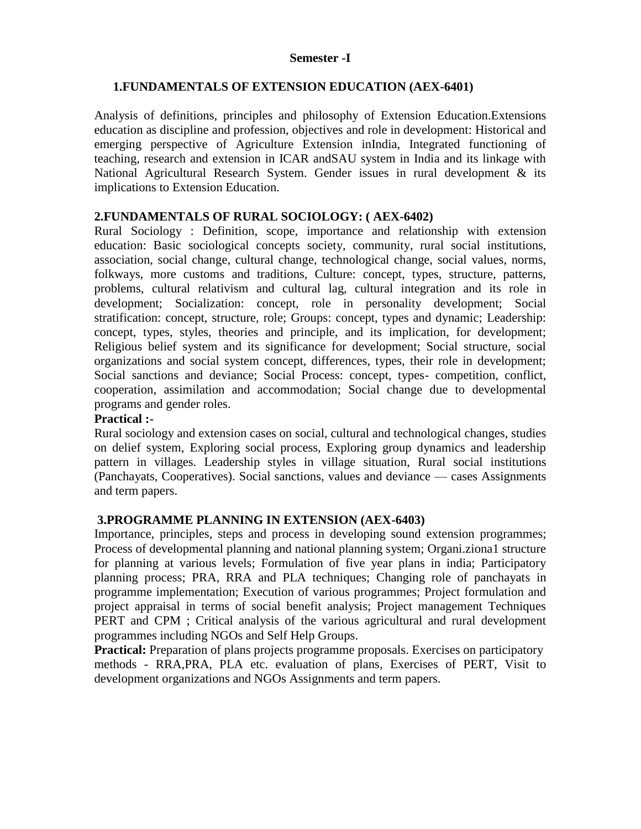#### **Semester -I**

# **1.FUNDAMENTALS OF EXTENSION EDUCATION (AEX-6401)**

Analysis of definitions, principles and philosophy of Extension Education.Extensions education as discipline and profession, objectives and role in development: Historical and emerging perspective of Agriculture Extension inIndia, Integrated functioning of teaching, research and extension in ICAR andSAU system in India and its linkage with National Agricultural Research System. Gender issues in rural development & its implications to Extension Education.

# **2.FUNDAMENTALS OF RURAL SOCIOLOGY: ( AEX-6402)**

Rural Sociology : Definition, scope, importance and relationship with extension education: Basic sociological concepts society, community, rural social institutions, association, social change, cultural change, technological change, social values, norms, folkways, more customs and traditions, Culture: concept, types, structure, patterns, problems, cultural relativism and cultural lag, cultural integration and its role in development; Socialization: concept, role in personality development; Social stratification: concept, structure, role; Groups: concept, types and dynamic; Leadership: concept, types, styles, theories and principle, and its implication, for development; Religious belief system and its significance for development; Social structure, social organizations and social system concept, differences, types, their role in development; Social sanctions and deviance; Social Process: concept, types- competition, conflict, cooperation, assimilation and accommodation; Social change due to developmental programs and gender roles.

# **Practical :-**

Rural sociology and extension cases on social, cultural and technological changes, studies on delief system, Exploring social process, Exploring group dynamics and leadership pattern in villages. Leadership styles in village situation, Rural social institutions (Panchayats, Cooperatives). Social sanctions, values and deviance — cases Assignments and term papers.

# **3.PROGRAMME PLANNING IN EXTENSION (AEX-6403)**

Importance, principles, steps and process in developing sound extension programmes; Process of developmental planning and national planning system; Organi.ziona1 structure for planning at various levels; Formulation of five year plans in india; Participatory planning process; PRA, RRA and PLA techniques; Changing role of panchayats in programme implementation; Execution of various programmes; Project formulation and project appraisal in terms of social benefit analysis; Project management Techniques PERT and CPM ; Critical analysis of the various agricultural and rural development programmes including NGOs and Self Help Groups.

**Practical:** Preparation of plans projects programme proposals. Exercises on participatory methods - RRA,PRA, PLA etc. evaluation of plans, Exercises of PERT, Visit to development organizations and NGOs Assignments and term papers.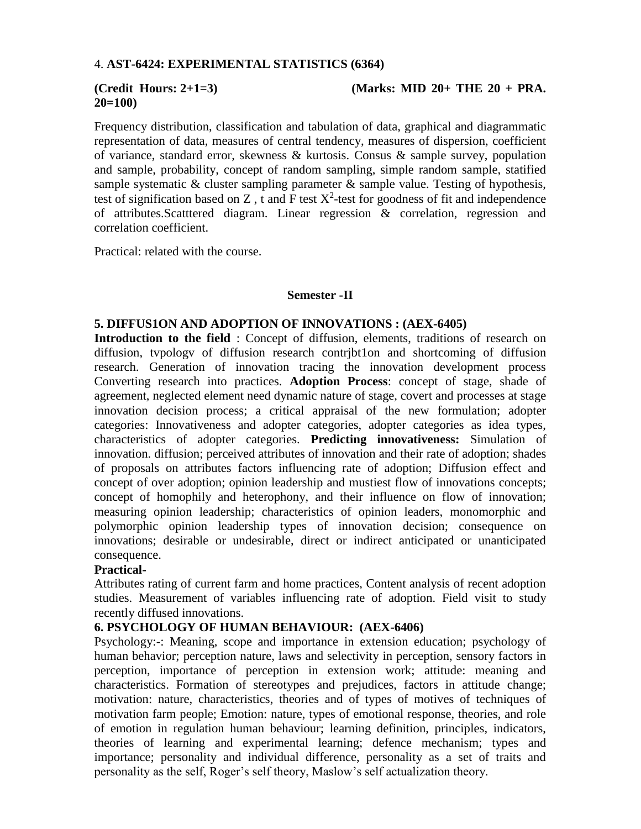#### 4. **AST-6424: EXPERIMENTAL STATISTICS (6364)**

# **20=100)**

#### **(Credit Hours: 2+1=3) (Marks: MID 20+ THE 20 + PRA.**

Frequency distribution, classification and tabulation of data, graphical and diagrammatic representation of data, measures of central tendency, measures of dispersion, coefficient of variance, standard error, skewness & kurtosis. Consus & sample survey, population and sample, probability, concept of random sampling, simple random sample, statified sample systematic  $\&$  cluster sampling parameter  $\&$  sample value. Testing of hypothesis, test of signification based on Z, t and F test  $X^2$ -test for goodness of fit and independence of attributes.Scatttered diagram. Linear regression & correlation, regression and correlation coefficient.

Practical: related with the course.

#### **Semester -II**

#### **5. DIFFUS1ON AND ADOPTION OF INNOVATIONS : (AEX-6405)**

**Introduction to the field** : Concept of diffusion, elements, traditions of research on diffusion, tvpologv of diffusion research contrjbt1on and shortcoming of diffusion research. Generation of innovation tracing the innovation development process Converting research into practices. **Adoption Process**: concept of stage, shade of agreement, neglected element need dynamic nature of stage, covert and processes at stage innovation decision process; a critical appraisal of the new formulation; adopter categories: Innovativeness and adopter categories, adopter categories as idea types, characteristics of adopter categories. **Predicting innovativeness:** Simulation of innovation. diffusion; perceived attributes of innovation and their rate of adoption; shades of proposals on attributes factors influencing rate of adoption; Diffusion effect and concept of over adoption; opinion leadership and mustiest flow of innovations concepts; concept of homophily and heterophony, and their influence on flow of innovation; measuring opinion leadership; characteristics of opinion leaders, monomorphic and polymorphic opinion leadership types of innovation decision; consequence on innovations; desirable or undesirable, direct or indirect anticipated or unanticipated consequence.

# **Practical-**

Attributes rating of current farm and home practices, Content analysis of recent adoption studies. Measurement of variables influencing rate of adoption. Field visit to study recently diffused innovations.

# **6. PSYCHOLOGY OF HUMAN BEHAVIOUR: (AEX-6406)**

Psychology:-: Meaning, scope and importance in extension education; psychology of human behavior; perception nature, laws and selectivity in perception, sensory factors in perception, importance of perception in extension work; attitude: meaning and characteristics. Formation of stereotypes and prejudices, factors in attitude change; motivation: nature, characteristics, theories and of types of motives of techniques of motivation farm people; Emotion: nature, types of emotional response, theories, and role of emotion in regulation human behaviour; learning definition, principles, indicators, theories of learning and experimental learning; defence mechanism; types and importance; personality and individual difference, personality as a set of traits and personality as the self, Roger's self theory, Maslow's self actualization theory.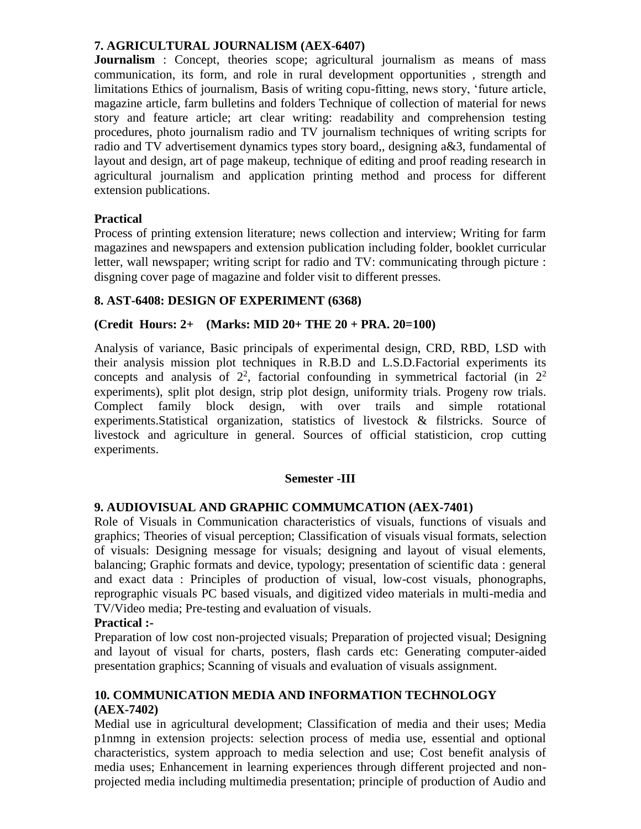# **7. AGRICULTURAL JOURNALISM (AEX-6407)**

**Journalism** : Concept, theories scope; agricultural journalism as means of mass communication, its form, and role in rural development opportunities , strength and limitations Ethics of journalism, Basis of writing copu-fitting, news story, 'future article, magazine article, farm bulletins and folders Technique of collection of material for news story and feature article; art clear writing: readability and comprehension testing procedures, photo journalism radio and TV journalism techniques of writing scripts for radio and TV advertisement dynamics types story board,, designing a&3, fundamental of layout and design, art of page makeup, technique of editing and proof reading research in agricultural journalism and application printing method and process for different extension publications.

# **Practical**

Process of printing extension literature; news collection and interview; Writing for farm magazines and newspapers and extension publication including folder, booklet curricular letter, wall newspaper; writing script for radio and TV: communicating through picture : disgning cover page of magazine and folder visit to different presses.

# **8. AST-6408: DESIGN OF EXPERIMENT (6368)**

# **(Credit Hours: 2+ (Marks: MID 20+ THE 20 + PRA. 20=100)**

Analysis of variance, Basic principals of experimental design, CRD, RBD, LSD with their analysis mission plot techniques in R.B.D and L.S.D.Factorial experiments its concepts and analysis of  $2^2$ , factorial confounding in symmetrical factorial (in  $2^2$ experiments), split plot design, strip plot design, uniformity trials. Progeny row trials. Complect family block design, with over trails and simple rotational experiments.Statistical organization, statistics of livestock & filstricks. Source of livestock and agriculture in general. Sources of official statisticion, crop cutting experiments.

# **Semester -III**

# **9. AUDIOVISUAL AND GRAPHIC COMMUMCATION (AEX-7401)**

Role of Visuals in Communication characteristics of visuals, functions of visuals and graphics; Theories of visual perception; Classification of visuals visual formats, selection of visuals: Designing message for visuals; designing and layout of visual elements, balancing; Graphic formats and device, typology; presentation of scientific data : general and exact data : Principles of production of visual, low-cost visuals, phonographs, reprographic visuals PC based visuals, and digitized video materials in multi-media and TV/Video media; Pre-testing and evaluation of visuals.

# **Practical :-**

Preparation of low cost non-projected visuals; Preparation of projected visual; Designing and layout of visual for charts, posters, flash cards etc: Generating computer-aided presentation graphics; Scanning of visuals and evaluation of visuals assignment.

# **10. COMMUNICATION MEDIA AND INFORMATION TECHNOLOGY (AEX-7402)**

Medial use in agricultural development; Classification of media and their uses; Media p1nmng in extension projects: selection process of media use, essential and optional characteristics, system approach to media selection and use; Cost benefit analysis of media uses; Enhancement in learning experiences through different projected and nonprojected media including multimedia presentation; principle of production of Audio and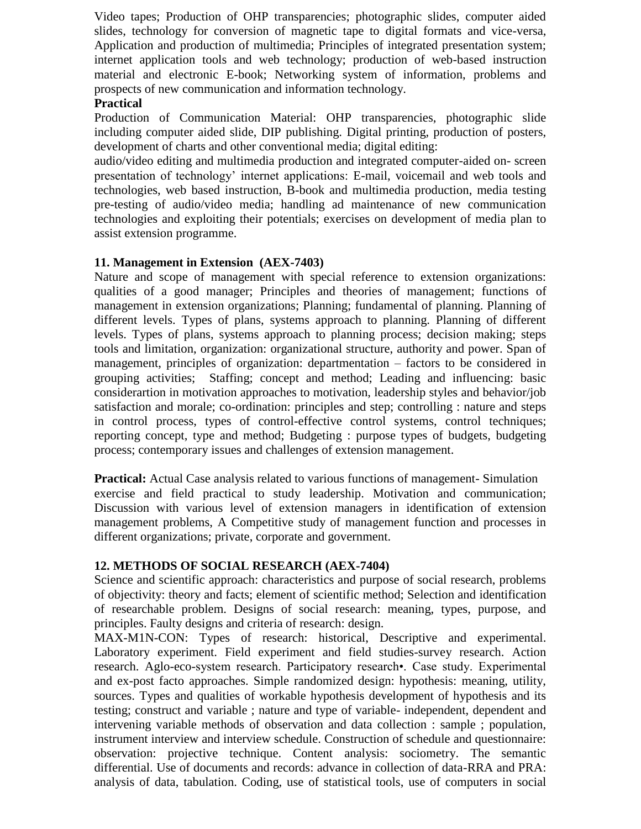Video tapes; Production of OHP transparencies; photographic slides, computer aided slides, technology for conversion of magnetic tape to digital formats and vice-versa, Application and production of multimedia; Principles of integrated presentation system; internet application tools and web technology; production of web-based instruction material and electronic E-book; Networking system of information, problems and prospects of new communication and information technology.

# **Practical**

Production of Communication Material: OHP transparencies, photographic slide including computer aided slide, DIP publishing. Digital printing, production of posters, development of charts and other conventional media; digital editing:

audio/video editing and multimedia production and integrated computer-aided on- screen presentation of technology' internet applications: E-mail, voicemail and web tools and technologies, web based instruction, B-book and multimedia production, media testing pre-testing of audio/video media; handling ad maintenance of new communication technologies and exploiting their potentials; exercises on development of media plan to assist extension programme.

# **11. Management in Extension (AEX-7403)**

Nature and scope of management with special reference to extension organizations: qualities of a good manager; Principles and theories of management; functions of management in extension organizations; Planning; fundamental of planning. Planning of different levels. Types of plans, systems approach to planning. Planning of different levels. Types of plans, systems approach to planning process; decision making; steps tools and limitation, organization: organizational structure, authority and power. Span of management, principles of organization: departmentation – factors to be considered in grouping activities; Staffing; concept and method; Leading and influencing: basic considerartion in motivation approaches to motivation, leadership styles and behavior/job satisfaction and morale; co-ordination: principles and step; controlling : nature and steps in control process, types of control-effective control systems, control techniques; reporting concept, type and method; Budgeting : purpose types of budgets, budgeting process; contemporary issues and challenges of extension management.

**Practical:** Actual Case analysis related to various functions of management- Simulation exercise and field practical to study leadership. Motivation and communication; Discussion with various level of extension managers in identification of extension management problems, A Competitive study of management function and processes in different organizations; private, corporate and government.

# **12. METHODS OF SOCIAL RESEARCH (AEX-7404)**

Science and scientific approach: characteristics and purpose of social research, problems of objectivity: theory and facts; element of scientific method; Selection and identification of researchable problem. Designs of social research: meaning, types, purpose, and principles. Faulty designs and criteria of research: design.

MAX-M1N-CON: Types of research: historical, Descriptive and experimental. Laboratory experiment. Field experiment and field studies-survey research. Action research. Aglo-eco-system research. Participatory research•. Case study. Experimental and ex-post facto approaches. Simple randomized design: hypothesis: meaning, utility, sources. Types and qualities of workable hypothesis development of hypothesis and its testing; construct and variable ; nature and type of variable- independent, dependent and intervening variable methods of observation and data collection : sample ; population, instrument interview and interview schedule. Construction of schedule and questionnaire: observation: projective technique. Content analysis: sociometry. The semantic differential. Use of documents and records: advance in collection of data-RRA and PRA: analysis of data, tabulation. Coding, use of statistical tools, use of computers in social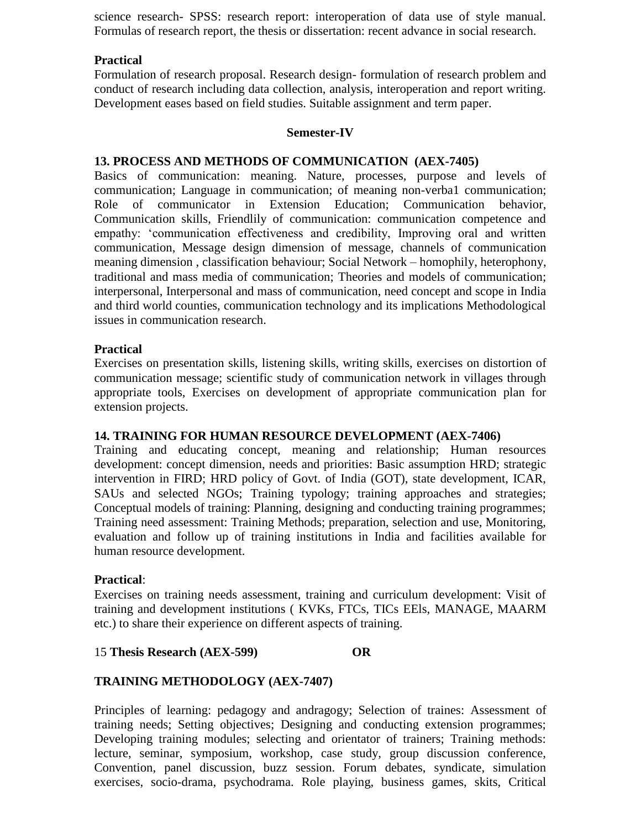science research- SPSS: research report: interoperation of data use of style manual. Formulas of research report, the thesis or dissertation: recent advance in social research.

# **Practical**

Formulation of research proposal. Research design- formulation of research problem and conduct of research including data collection, analysis, interoperation and report writing. Development eases based on field studies. Suitable assignment and term paper.

#### **Semester-IV**

# **13. PROCESS AND METHODS OF COMMUNICATION (AEX-7405)**

Basics of communication: meaning. Nature, processes, purpose and levels of communication; Language in communication; of meaning non-verba1 communication; Role of communicator in Extension Education; Communication behavior, Communication skills, Friendlily of communication: communication competence and empathy: 'communication effectiveness and credibility, Improving oral and written communication, Message design dimension of message, channels of communication meaning dimension , classification behaviour; Social Network – homophily, heterophony, traditional and mass media of communication; Theories and models of communication; interpersonal, Interpersonal and mass of communication, need concept and scope in India and third world counties, communication technology and its implications Methodological issues in communication research.

#### **Practical**

Exercises on presentation skills, listening skills, writing skills, exercises on distortion of communication message; scientific study of communication network in villages through appropriate tools, Exercises on development of appropriate communication plan for extension projects.

#### **14. TRAINING FOR HUMAN RESOURCE DEVELOPMENT (AEX-7406)**

Training and educating concept, meaning and relationship; Human resources development: concept dimension, needs and priorities: Basic assumption HRD; strategic intervention in FIRD; HRD policy of Govt. of India (GOT), state development, ICAR, SAUs and selected NGOs; Training typology; training approaches and strategies; Conceptual models of training: Planning, designing and conducting training programmes; Training need assessment: Training Methods; preparation, selection and use, Monitoring, evaluation and follow up of training institutions in India and facilities available for human resource development.

#### **Practical**:

Exercises on training needs assessment, training and curriculum development: Visit of training and development institutions ( KVKs, FTCs, TICs EEls, MANAGE, MAARM etc.) to share their experience on different aspects of training.

#### 15 **Thesis Research (AEX-599) OR**

# **TRAINING METHODOLOGY (AEX-7407)**

Principles of learning: pedagogy and andragogy; Selection of traines: Assessment of training needs; Setting objectives; Designing and conducting extension programmes; Developing training modules; selecting and orientator of trainers; Training methods: lecture, seminar, symposium, workshop, case study, group discussion conference, Convention, panel discussion, buzz session. Forum debates, syndicate, simulation exercises, socio-drama, psychodrama. Role playing, business games, skits, Critical